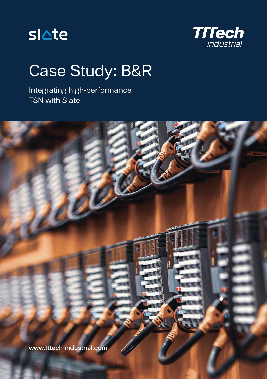



## Case Study: B&R

Integrating high-performance TSN with Slate

www.tttech-industrial.com